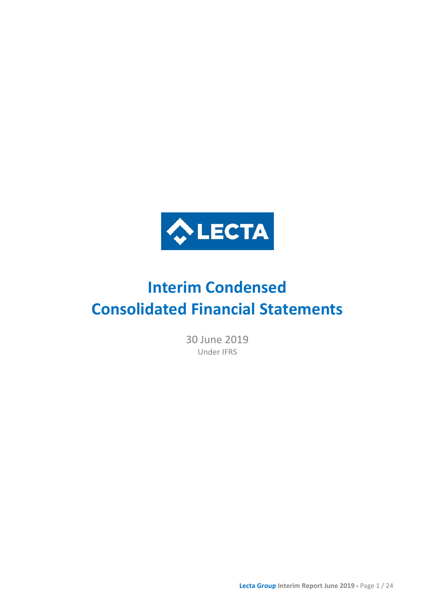

# **Interim Condensed Consolidated Financial Statements**

30 June 2019 Under IFRS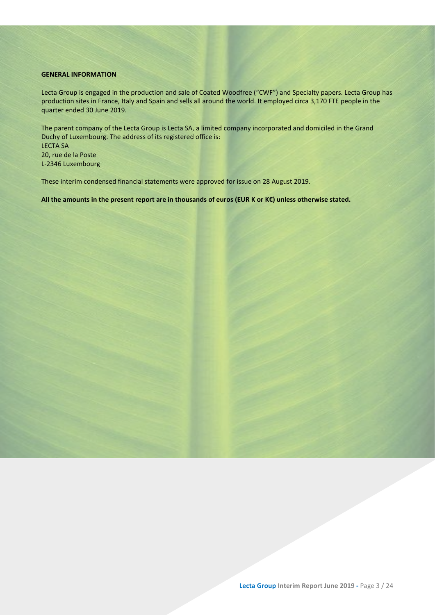### <span id="page-2-0"></span>**GENERAL INFORMATION**

Lecta Group is engaged in the production and sale of Coated Woodfree ("CWF") and Specialty papers. Lecta Group has production sites in France, Italy and Spain and sells all around the world. It employed circa 3,170 FTE people in the quarter ended 30 June 2019.

The parent company of the Lecta Group is Lecta SA, a limited company incorporated and domiciled in the Grand Duchy of Luxembourg. The address of its registered office is: LECTA SA 20, rue de la Poste L-2346 Luxembourg

These interim condensed financial statements were approved for issue on 28 August 2019.

**All the amounts in the present report are in thousands of euros (EUR K or K€) unless otherwise stated.**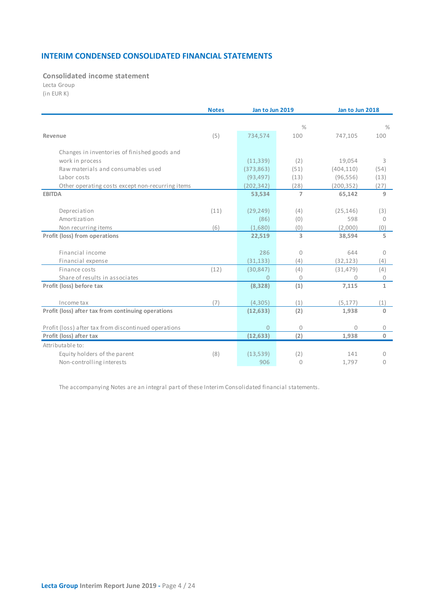### **INTERIM CONDENSED CONSOLIDATED FINANCIAL STATEMENTS**

<span id="page-3-0"></span>**Consolidated income statement**

Lecta Group (in EUR K)

|                                                      | <b>Notes</b> |                | Jan to Jun 2019 |            | Jan to Jun 2018 |  |
|------------------------------------------------------|--------------|----------------|-----------------|------------|-----------------|--|
|                                                      |              |                | $\frac{0}{0}$   |            | $\%$            |  |
| Revenue                                              | (5)          | 734,574        | 100             | 747.105    | 100             |  |
|                                                      |              |                |                 |            |                 |  |
| Changes in inventories of finished goods and         |              |                |                 |            |                 |  |
| work in process                                      |              | (11, 339)      | (2)             | 19,054     | 3               |  |
| Raw materials and consumables used                   |              | (373, 863)     | (51)            | (404, 110) | (54)            |  |
| Labor costs                                          |              | (93, 497)      | (13)            | (96, 556)  | (13)            |  |
| Other operating costs except non-recurring items     |              | (202, 342)     | (28)            | (200, 352) | (27)            |  |
| <b>EBITDA</b>                                        |              | 53,534         | $\overline{7}$  | 65,142     | 9               |  |
| Depreciation                                         | (11)         | (29, 249)      | (4)             | (25, 146)  | (3)             |  |
| Amortization                                         |              | (86)           | (0)             | 598        | $\Omega$        |  |
| Non recurring items                                  | (6)          | (1,680)        | (0)             | (2,000)    | (0)             |  |
| Profit (loss) from operations                        |              | 22,519         | 3               | 38,594     | 5               |  |
|                                                      |              |                |                 |            |                 |  |
| Financial income                                     |              | 286            | 0               | 644        | 0               |  |
| Financial expense                                    |              | (31, 133)      | (4)             | (32, 123)  | (4)             |  |
| Finance costs                                        | (12)         | (30, 847)      | (4)             | (31, 479)  | (4)             |  |
| Share of results in associates                       |              | 0              | 0               | $\Omega$   | 0               |  |
| Profit (loss) before tax                             |              | (8, 328)       | (1)             | 7,115      | $\mathbf{1}$    |  |
| Income tax                                           | (7)          | (4,305)        | (1)             | (5, 177)   | (1)             |  |
| Profit (loss) after tax from continuing operations   |              | (12, 633)      | (2)             | 1,938      | $\mathbf{0}$    |  |
|                                                      |              |                |                 |            |                 |  |
| Profit (loss) after tax from discontinued operations |              | $\overline{0}$ | 0               | $\bigcap$  | $\mathbf{0}$    |  |
| Profit (loss) after tax                              |              | (12, 633)      | (2)             | 1,938      | $\mathbf 0$     |  |
| Attributable to:                                     |              |                |                 |            |                 |  |
| Equity holders of the parent                         | (8)          | (13,539)       | (2)             | 141        | $\bigcap$       |  |
| Non-controlling interests                            |              | 906            | 0               | 1,797      | 0               |  |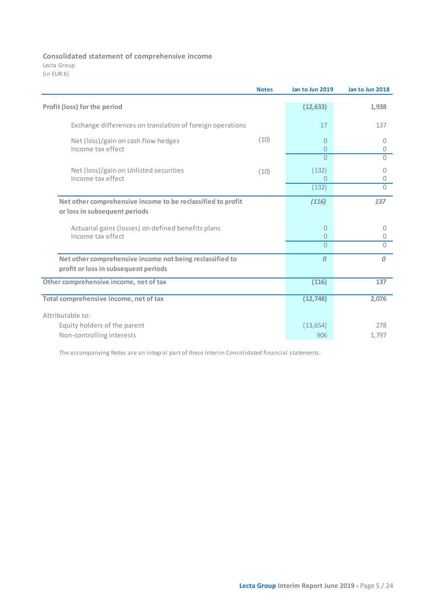### **Consolidated statement of comprehensive income**

Lecta Group (in EUR K)

|                                                                                                  | <b>Notes</b> | Jan to Jun 2019                  | Jan to Jun 2018 |
|--------------------------------------------------------------------------------------------------|--------------|----------------------------------|-----------------|
| Profit (loss) for the period                                                                     |              | (12, 633)                        | 1,938           |
| Exchange differences on translation of foreign operations                                        |              | 17                               | 137             |
| Net (loss)/gain on cash flow hedges<br>Income tax effect                                         | (10)         | $\overline{0}$<br>$\overline{0}$ | 0<br>0          |
|                                                                                                  |              | $\Omega$                         | $\Omega$        |
| Net (loss)/gain on Unlisted securities<br>Income tax effect                                      | (10)         | (132)<br>$\Omega$                | 0<br>0          |
|                                                                                                  |              | (132)                            | $\overline{0}$  |
| Net other comprehensive income to be reclassified to profit<br>or loss in subsequent periods     |              | (116)                            | 137             |
| Actuarial gains (losses) on defined benefits plans<br>Income tax effect                          |              | $\overline{0}$<br>$\overline{0}$ | $\circ$<br>0    |
|                                                                                                  |              | $\Omega$                         | $\bigcap$       |
| Net other comprehensive income not being reclassified to<br>profit or loss in subsequent periods |              | 0                                | $\mathcal{O}$   |
| Other comprehensive income, net of tax                                                           |              | (116)                            | 137             |
| Total comprehensive income, net of tax                                                           |              | (12, 748)                        | 2,076           |
| Attributable to:                                                                                 |              |                                  |                 |
| Equity holders of the parent                                                                     |              | (13, 654)                        | 278             |
| Non-controlling interests                                                                        |              | 906                              | 1,797           |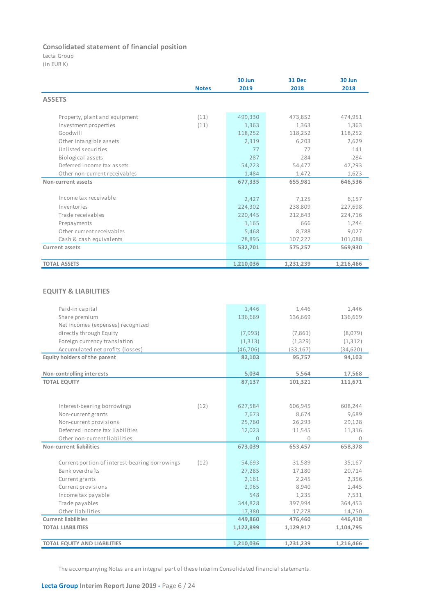### **Consolidated statement of financial position**

Lecta Group

(in EUR K)

|                               |              | 30 Jun    | <b>31 Dec</b> | 30 Jun    |
|-------------------------------|--------------|-----------|---------------|-----------|
|                               | <b>Notes</b> | 2019      | 2018          | 2018      |
| <b>ASSETS</b>                 |              |           |               |           |
| Property, plant and equipment | (11)         | 499,330   | 473,852       | 474,951   |
| Investment properties         | (11)         | 1,363     | 1,363         | 1,363     |
| Goodwill                      |              | 118,252   | 118,252       | 118,252   |
| Other intangible assets       |              | 2,319     | 6,203         | 2,629     |
| Unlisted securities           |              | 77        | 77            | 141       |
| Biological assets             |              | 287       | 284           | 284       |
| Deferred income tax assets    |              | 54,223    | 54,477        | 47,293    |
| Other non-current receivables |              | 1,484     | 1,472         | 1,623     |
| Non-current assets            |              | 677,335   | 655,981       | 646,536   |
|                               |              |           |               |           |
| Income tax receivable         |              | 2,427     | 7,125         | 6,157     |
| Inventories                   |              | 224,302   | 238,809       | 227,698   |
| Trade receivables             |              | 220,445   | 212,643       | 224,716   |
| Prepayments                   |              | 1,165     | 666           | 1,244     |
| Other current receivables     |              | 5,468     | 8,788         | 9,027     |
| Cash & cash equivalents       |              | 78,895    | 107,227       | 101,088   |
| <b>Current assets</b>         |              | 532,701   | 575,257       | 569,930   |
|                               |              |           |               |           |
| <b>TOTAL ASSETS</b>           |              | 1,210,036 | 1,231,239     | 1,216,466 |

### **EQUITY & LIABILITIES**

|                                                        | 1,446          | 1.446     | 1,446        |
|--------------------------------------------------------|----------------|-----------|--------------|
| Paid-in capital<br>Share premium                       | 136,669        | 136,669   | 136,669      |
|                                                        |                |           |              |
| Net incomes (expenses) recognized                      |                |           |              |
| directly through Equity                                | (7,993)        | (7,861)   | (8,079)      |
| Foreign currency translation                           | (1, 313)       | (1, 329)  | (1, 312)     |
| Accumulated net profits (losses)                       | (46, 706)      | (33, 167) | (34, 620)    |
| Equity holders of the parent                           | 82,103         | 95,757    | 94,103       |
|                                                        |                |           |              |
| Non-controlling interests                              | 5,034          | 5,564     | 17,568       |
| <b>TOTAL EQUITY</b>                                    | 87,137         | 101,321   | 111,671      |
|                                                        |                |           |              |
|                                                        |                |           |              |
| (12)<br>Interest-bearing borrowings                    | 627,584        | 606,945   | 608,244      |
| Non-current grants                                     | 7,673          | 8,674     | 9,689        |
| Non-current provisions                                 | 25,760         | 26,293    | 29,128       |
| Deferred income tax liabilities                        | 12,023         | 11,545    | 11,316       |
| Other non-current liabilities                          | $\overline{0}$ | $\Omega$  | $\mathbf{0}$ |
| Non-current liabilities                                | 673,039        | 653,457   | 658,378      |
|                                                        |                |           |              |
| Current portion of interest-bearing borrowings<br>(12) | 54,693         | 31,589    | 35,167       |
| Bank overdrafts                                        | 27,285         | 17,180    | 20,714       |
| Current grants                                         | 2,161          | 2,245     | 2,356        |
| Current provisions                                     | 2,965          | 8,940     | 1,445        |
| Income tax payable                                     | 548            | 1,235     | 7,531        |
| Trade payables                                         | 344,828        | 397,994   | 364,453      |
| Other liabilities                                      | 17,380         | 17,278    | 14,750       |
| <b>Current liabilities</b>                             | 449,860        | 476,460   | 446,418      |
| <b>TOTAL LIABILITIES</b>                               | 1,122,899      | 1,129,917 | 1,104,795    |
|                                                        |                |           |              |
| <b>TOTAL EQUITY AND LIABILITIES</b>                    | 1,210,036      | 1,231,239 | 1,216,466    |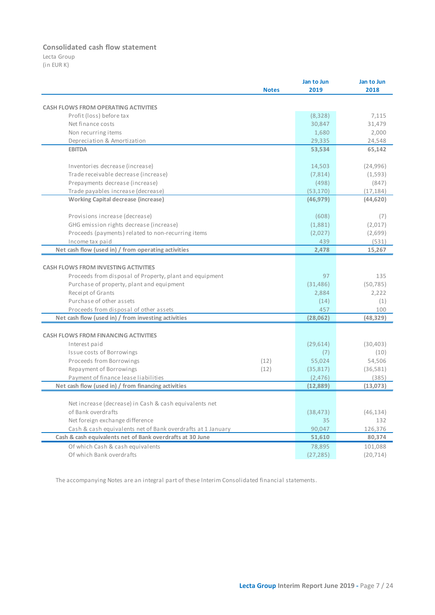### **Consolidated cash flow statement**

Lecta Group (in EUR K)

|                                                             | Jan to Jun | Jan to Jun |
|-------------------------------------------------------------|------------|------------|
| <b>Notes</b>                                                | 2019       | 2018       |
|                                                             |            |            |
| <b>CASH FLOWS FROM OPERATING ACTIVITIES</b>                 |            |            |
| Profit (loss) before tax                                    | (8, 328)   | 7,115      |
| Net finance costs                                           | 30,847     | 31,479     |
| Non recurring items                                         | 1,680      | 2,000      |
| Depreciation & Amortization                                 | 29,335     | 24,548     |
| <b>EBITDA</b>                                               | 53,534     | 65,142     |
| Inventories decrease (increase)                             | 14,503     | (24, 996)  |
| Trade receivable decrease (increase)                        | (7, 814)   | (1,593)    |
| Prepayments decrease (increase)                             | (498)      | (847)      |
| Trade payables increase (decrease)                          | (53, 170)  | (17, 184)  |
| <b>Working Capital decrease (increase)</b>                  | (46, 979)  | (44, 620)  |
| Provisions increase (decrease)                              | (608)      | (7)        |
| GHG emission rights decrease (increase)                     | (1,881)    | (2,017)    |
| Proceeds (payments) related to non-recurring items          | (2,027)    | (2,699)    |
| Income tax paid                                             | 439        | (531)      |
| Net cash flow (used in) / from operating activities         | 2,478      | 15,267     |
|                                                             |            |            |
| <b>CASH FLOWS FROM INVESTING ACTIVITIES</b>                 |            |            |
| Proceeds from disposal of Property, plant and equipment     | 97         | 135        |
| Purchase of property, plant and equipment                   | (31, 486)  | (50, 785)  |
| Receipt of Grants                                           | 2,884      | 2,222      |
| Purchase of other assets                                    | (14)       | (1)        |
| Proceeds from disposal of other assets                      | 457        | 100        |
| Net cash flow (used in) / from investing activities         | (28,062)   | (48,329)   |
|                                                             |            |            |
| <b>CASH FLOWS FROM FINANCING ACTIVITIES</b>                 |            |            |
| Interest paid                                               | (29,614)   | (30, 403)  |
| Issue costs of Borrowings                                   | (7)        | (10)       |
| Proceeds from Borrowings<br>(12)                            | 55,024     | 54,506     |
| Repayment of Borrowings<br>(12)                             | (35, 817)  | (36, 581)  |
| Payment of finance lease liabilities                        | (2, 476)   | (385)      |
| Net cash flow (used in) / from financing activities         | (12, 889)  | (13,073)   |
|                                                             |            |            |
| Net increase (decrease) in Cash & cash equivalents net      |            |            |
| of Bank overdrafts                                          | (38, 473)  | (46, 134)  |
| Net foreign exchange difference                             | 35         | 132        |
| Cash & cash equivalents net of Bank overdrafts at 1 January | 90,047     | 126,376    |
| Cash & cash equivalents net of Bank overdrafts at 30 June   | 51,610     | 80,374     |
| Of which Cash & cash equivalents                            | 78,895     | 101,088    |
| Of which Bank overdrafts                                    | (27, 285)  | (20, 714)  |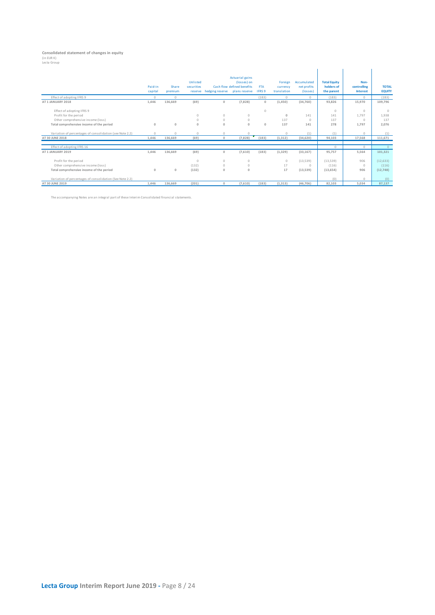## **Consolidated statement of changes in equity<br>(in EUR K)<br>Lecta Group**

|                                                          | Paid-in<br>capital | Share<br>premium | Unlisted<br>securities<br>reserve | hedging reserve | <b>Actuarial gains</b><br>(losses) on<br>Cash flow defined benefits<br>plans reserve | <b>FTA</b><br><b>IFRS 9</b> | Foreign<br>currency<br>translation | Accumulated<br>net profits<br>(losses) | <b>Total Equity</b><br>holders of<br>the parent | Non-<br>controlling<br><b>Interest</b> | <b>TOTAL</b><br><b>EQUITY</b> |
|----------------------------------------------------------|--------------------|------------------|-----------------------------------|-----------------|--------------------------------------------------------------------------------------|-----------------------------|------------------------------------|----------------------------------------|-------------------------------------------------|----------------------------------------|-------------------------------|
| Effect of adopting IFRS 9                                | $\Omega$           | $\Omega$         |                                   |                 |                                                                                      | (183)                       | $\Omega$                           | $\bigcap$                              | (183)                                           | $\Omega$                               | (183)                         |
| AT 1 JANUARY 2018                                        | 1,446              | 136,669          | (69)                              | $\mathbf{0}$    | (7,828)                                                                              | $\mathbf{0}$                | (1,450)                            | (34,760)                               | 93,826                                          | 15,970                                 | 109,796                       |
| Effect of adopting IFRS 9                                |                    |                  |                                   |                 |                                                                                      | $\circ$                     |                                    |                                        | $\circ$                                         | $\Omega$                               | $\cap$                        |
| Profit for the period                                    |                    |                  | $\circ$                           | $\circ$         | $\circ$                                                                              |                             | $\mathbf 0$                        | 141                                    | 141                                             | 1,797                                  | 1,938                         |
| Other comprehensive income (loss)                        |                    |                  | $\circ$                           | $\circ$         | $\circ$                                                                              |                             | 137                                | $\Omega$                               | 137                                             | $\Omega$                               | 137                           |
| Total comprehensive income of the period                 | $\mathbf{0}$       | $\circ$          | $\mathbf{0}$                      | $\mathbf{0}$    | $\mathbf{0}$                                                                         | $\mathbf{0}$                | 137                                | 141                                    | 278                                             | 1.797                                  | 2,076                         |
| Variation of percentages of consolidation (see Note 2.2) | $\Omega$           | $\Omega$         | $\Omega$                          | $\Omega$        | $\Omega$                                                                             |                             | $\circ$                            | (1)                                    | (1)                                             | $\Omega$                               | (1)                           |
| AT 30 JUNE 2018                                          | 1.446              | 136,669          | (69)                              | $\Omega$        | (7,828)                                                                              | (183)                       | (1, 312)                           | (34, 620)                              | 94,103                                          | 17,568                                 | 111,671                       |
| Effect of adopting IFRS 16                               |                    |                  |                                   |                 |                                                                                      |                             |                                    |                                        | $\Omega$                                        | $\Omega$                               | $\Omega$                      |
| AT 1 JANUARY 2019                                        | 1,446              | 136,669          | (69)                              | $\mathbf{0}$    | (7,610)                                                                              | (183)                       | (1, 329)                           | (33.167)                               | 95,757                                          | 5.564                                  | 101,321                       |
| Profit for the period                                    |                    |                  | $\Omega$                          | $\Omega$        | $\circ$                                                                              |                             | $\circ$                            | (13, 539)                              | (13,539)                                        | 906                                    | (12, 633)                     |
| Other comprehensive income (loss)                        |                    |                  | (132)                             | $\Omega$        | $\circ$                                                                              |                             | 17                                 | $\Omega$                               | (116)                                           | $\Omega$                               | (116)                         |
| Total comprehensive income of the period                 | $\mathbf{0}$       | $\circ$          | (132)                             | $\Omega$        | $\mathbf 0$                                                                          |                             | 17                                 | (13, 539)                              | (13, 654)                                       | 906                                    | (12, 748)                     |
| Variation of percentages of consolidation (See Note 2.2) |                    |                  |                                   |                 |                                                                                      |                             |                                    |                                        | (0)                                             | $\Omega$                               | (0)                           |
| AT 30 JUNE 2019                                          | 1,446              | 136,669          | (201)                             | $\Omega$        | (7,610)                                                                              | (183)                       | (1, 313)                           | (46.706)                               | 82.103                                          | 5.034                                  | 87.137                        |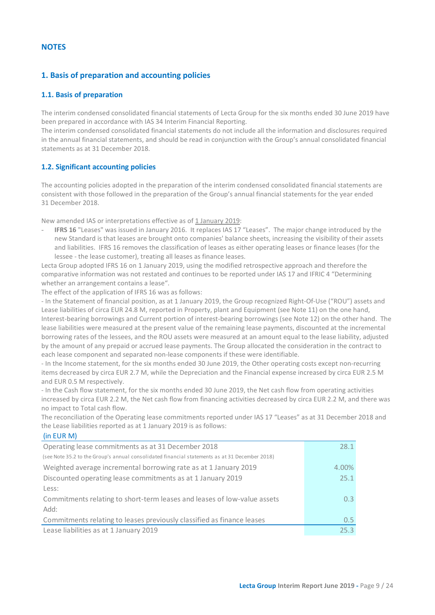### <span id="page-8-0"></span>**NOTES**

(in EUR M)

### <span id="page-8-1"></span>**1. Basis of preparation and accounting policies**

### <span id="page-8-2"></span>**1.1. Basis of preparation**

The interim condensed consolidated financial statements of Lecta Group for the six months ended 30 June 2019 have been prepared in accordance with IAS 34 Interim Financial Reporting.

The interim condensed consolidated financial statements do not include all the information and disclosures required in the annual financial statements, and should be read in conjunction with the Group's annual consolidated financial statements as at 31 December 2018.

### <span id="page-8-3"></span>**1.2. Significant accounting policies**

The accounting policies adopted in the preparation of the interim condensed consolidated financial statements are consistent with those followed in the preparation of the Group's annual financial statements for the year ended 31 December 2018.

New amended IAS or interpretations effective as of 1 January 2019:

- **IFRS 16** "Leases" was issued in January 2016. It replaces IAS 17 "Leases". The major change introduced by the new Standard is that leases are brought onto companies' balance sheets, increasing the visibility of their assets and liabilities. IFRS 16 removes the classification of leases as either operating leases or finance leases (for the lessee - the lease customer), treating all leases as finance leases.

Lecta Group adopted IFRS 16 on 1 January 2019, using the modified retrospective approach and therefore the comparative information was not restated and continues to be reported under IAS 17 and IFRIC 4 "Determining whether an arrangement contains a lease".

The effect of the application of IFRS 16 was as follows:

- In the Statement of financial position, as at 1 January 2019, the Group recognized Right-Of-Use ("ROU") assets and Lease liabilities of circa EUR 24.8 M, reported in Property, plant and Equipment (see Note 11) on the one hand, Interest-bearing borrowings and Current portion of interest-bearing borrowings (see Note 12) on the other hand. The lease liabilities were measured at the present value of the remaining lease payments, discounted at the incremental borrowing rates of the lessees, and the ROU assets were measured at an amount equal to the lease liability, adjusted by the amount of any prepaid or accrued lease payments. The Group allocated the consideration in the contract to each lease component and separated non-lease components if these were identifiable.

- In the Income statement, for the six months ended 30 June 2019, the Other operating costs except non-recurring items decreased by circa EUR 2.7 M, while the Depreciation and the Financial expense increased by circa EUR 2.5 M and EUR 0.5 M respectively.

- In the Cash flow statement, for the six months ended 30 June 2019, the Net cash flow from operating activities increased by circa EUR 2.2 M, the Net cash flow from financing activities decreased by circa EUR 2.2 M, and there was no impact to Total cash flow.

The reconciliation of the Operating lease commitments reported under IAS 17 "Leases" as at 31 December 2018 and the Lease liabilities reported as at 1 January 2019 is as follows:

| $1111 - 11111$                                                                                 |                  |
|------------------------------------------------------------------------------------------------|------------------|
| Operating lease commitments as at 31 December 2018                                             | 28.1             |
| (see Note 35.2 to the Group's annual consolidated financial statements as at 31 December 2018) |                  |
| Weighted average incremental borrowing rate as at 1 January 2019                               | 4.00%            |
| Discounted operating lease commitments as at 1 January 2019                                    | 25.1             |
| Less:                                                                                          |                  |
| Commitments relating to short-term leases and leases of low-value assets                       | 0.3 <sup>°</sup> |
| Add:                                                                                           |                  |
| Commitments relating to leases previously classified as finance leases                         | $0.5^{\circ}$    |
| Lease liabilities as at 1 January 2019                                                         | 25.3             |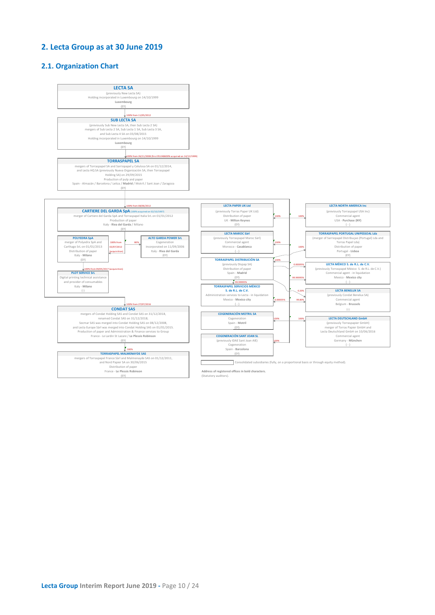### <span id="page-9-0"></span>**2. Lecta Group as at 30 June 2019**

### <span id="page-9-1"></span>**2.1. Organization Chart**

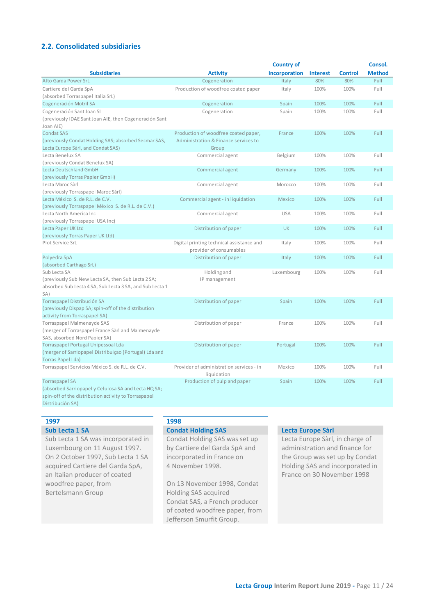### <span id="page-10-0"></span>**2.2. Consolidated subsidiaries**

|                                                                                                                                                           |                                                                                       | <b>Country of</b> |                 |                | Consol.       |
|-----------------------------------------------------------------------------------------------------------------------------------------------------------|---------------------------------------------------------------------------------------|-------------------|-----------------|----------------|---------------|
| <b>Subsidiaries</b>                                                                                                                                       | <b>Activity</b>                                                                       | incorporation     | <b>Interest</b> | <b>Control</b> | <b>Method</b> |
| Alto Garda Power SrL                                                                                                                                      | Cogeneration                                                                          | Italy             | 80%             | 80%            | Full          |
| Cartiere del Garda SpA<br>(absorbed Torraspapel Italia SrL)                                                                                               | Production of woodfree coated paper                                                   | Italy             | 100%            | 100%           | Full          |
| Cogeneración Motril SA                                                                                                                                    | Cogeneration                                                                          | Spain             | 100%            | 100%           | Full          |
| Cogeneración Sant Joan SL                                                                                                                                 | Cogeneration                                                                          | Spain             | 100%            | 100%           | Full          |
| (previously IDAE Sant Joan AIE, then Cogeneración Sant<br>Joan AIE)                                                                                       |                                                                                       |                   |                 |                |               |
| <b>Condat SAS</b><br>(previously Condat Holding SAS; absorbed Secmar SAS,<br>Lecta Europe Sàrl, and Condat SAS)                                           | Production of woodfree coated paper,<br>Administration & Finance services to<br>Group | France            | 100%            | 100%           | Full          |
| Lecta Benelux SA                                                                                                                                          | Commercial agent                                                                      | Belgium           | 100%            | 100%           | Full          |
| (previously Condat Benelux SA)                                                                                                                            |                                                                                       |                   |                 |                |               |
| Lecta Deutschland GmbH<br>(previously Torras Papier GmbH)                                                                                                 | Commercial agent                                                                      | Germany           | 100%            | 100%           | Full          |
| Lecta Maroc Sàrl<br>(previously Torraspapel Maroc Sàrl)                                                                                                   | Commercial agent                                                                      | Morocco           | 100%            | 100%           | Full          |
| Lecta México S. de R.L. de C.V.<br>(previously Torraspapel México S. de R.L. de C.V.)                                                                     | Commercial agent - in liquidation                                                     | Mexico            | 100%            | 100%           | Full          |
| Lecta North America Inc<br>(previously Torraspapel USA Inc)                                                                                               | Commercial agent                                                                      | <b>USA</b>        | 100%            | 100%           | Full          |
| Lecta Paper UK Ltd                                                                                                                                        | Distribution of paper                                                                 | <b>UK</b>         | 100%            | 100%           | Full          |
| (previously Torras Paper UK Ltd)                                                                                                                          |                                                                                       |                   |                 |                |               |
| Plot Service SrL                                                                                                                                          | Digital printing technical assistance and<br>provider of consumables                  | Italy             | 100%            | 100%           | Full          |
| Polyedra SpA<br>(absorbed Carthago SrL)                                                                                                                   | Distribution of paper                                                                 | Italy             | 100%            | 100%           | Full          |
| Sub Lecta SA                                                                                                                                              | Holding and                                                                           | Luxembourg        | 100%            | 100%           | Full          |
| (previously Sub New Lecta SA, then Sub Lecta 2 SA;<br>absorbed Sub Lecta 4 SA, Sub Lecta 3 SA, and Sub Lecta 1<br>SA)                                     | IP management                                                                         |                   |                 |                |               |
| Torraspapel Distribución SA                                                                                                                               | Distribution of paper                                                                 | Spain             | 100%            | 100%           | Full          |
| (previously Dispap SA; spin-off of the distribution<br>activity from Torraspapel SA)                                                                      |                                                                                       |                   |                 |                |               |
| Torraspapel Malmenayde SAS<br>(merger of Torraspapel France Sàrl and Malmenayde                                                                           | Distribution of paper                                                                 | France            | 100%            | 100%           | Full          |
| SAS, absorbed Nord Papier SA)                                                                                                                             |                                                                                       |                   |                 |                |               |
| Torraspapel Portugal Unipessoal Lda<br>(merger of Sarriopapel Distribuiçao (Portugal) Lda and<br><b>Torras Papel Lda)</b>                                 | Distribution of paper                                                                 | Portugal          | 100%            | 100%           | Full          |
| Torraspapel Servicios México S. de R.L. de C.V.                                                                                                           | Provider of administration services - in<br>liquidation                               | Mexico            | 100%            | 100%           | Full          |
| <b>Torraspapel SA</b><br>(absorbed Sarriopapel y Celulosa SA and Lecta HQ SA;<br>spin-off of the distribution activity to Torraspapel<br>Distribución SA) | Production of pulp and paper                                                          | Spain             | 100%            | 100%           | Full          |

### **1997 1998**

Sub Lecta 1 SA was incorporated in Luxembourg on 11 August 1997. On 2 October 1997, Sub Lecta 1 SA acquired Cartiere del Garda SpA, an Italian producer of coated woodfree paper, from Bertelsmann Group

Condat Holding SAS was set up by Cartiere del Garda SpA and incorporated in France on 4 November 1998.

On 13 November 1998, Condat Holding SAS acquired Condat SAS, a French producer of coated woodfree paper, from Jefferson Smurfit Group.

### **Sub Lecta 1 SA Condat Holding SAS Lecta Europe Sàrl**

Lecta Europe Sàrl, in charge of administration and finance for the Group was set up by Condat Holding SAS and incorporated in France on 30 November 1998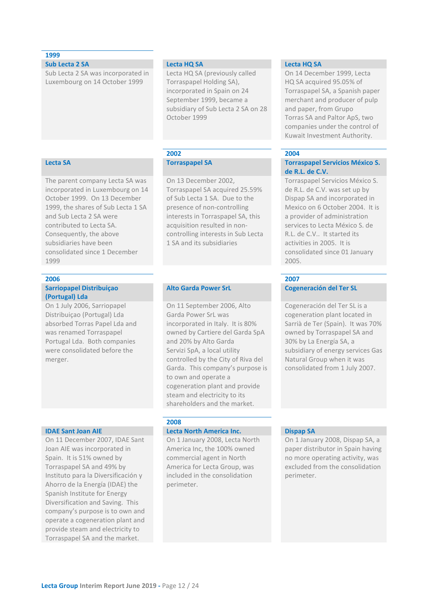### **1999**

Sub Lecta 2 SA was incorporated in Luxembourg on 14 October 1999

The parent company Lecta SA was incorporated in Luxembourg on 14 October 1999. On 13 December 1999, the shares of Sub Lecta 1 SA and Sub Lecta 2 SA were contributed to Lecta SA. Consequently, the above subsidiaries have been consolidated since 1 December 1999

### **2006 2007**

### **Sarriopapel Distribuiçao (Portugal) Lda**

On 1 July 2006, Sarriopapel Distribuiçao (Portugal) Lda absorbed Torras Papel Lda and was renamed Torraspapel Portugal Lda. Both companies were consolidated before the merger.

On 11 December 2007, IDAE Sant Joan AIE was incorporated in Spain. It is 51% owned by Torraspapel SA and 49% by Instituto para la Diversificación y Ahorro de la Energía (IDAE) the Spanish Institute for Energy Diversification and Saving. This company's purpose is to own and operate a cogeneration plant and provide steam and electricity to Torraspapel SA and the market.

Lecta HQ SA (previously called Torraspapel Holding SA), incorporated in Spain on 24 September 1999, became a subsidiary of Sub Lecta 2 SA on 28 October 1999

## **2002 2004**

On 13 December 2002, Torraspapel SA acquired 25.59% of Sub Lecta 1 SA. Due to the presence of non-controlling interests in Torraspapel SA, this acquisition resulted in noncontrolling interests in Sub Lecta 1 SA and its subsidiaries

On 11 September 2006, Alto Garda Power SrL was incorporated in Italy. It is 80% owned by Cartiere del Garda SpA and 20% by Alto Garda Servizi SpA, a local utility controlled by the City of Riva del Garda. This company's purpose is to own and operate a cogeneration plant and provide steam and electricity to its shareholders and the market.

### **2008**

### **IDAE Sant Joan AIE Lecta North America Inc. Dispap SA**

On 1 January 2008, Lecta North America Inc, the 100% owned commercial agent in North America for Lecta Group, was included in the consolidation perimeter.

### **Sub Lecta 2 SA Lecta HQ SA Lecta HQ SA**

On 14 December 1999, Lecta HQ SA acquired 95.05% of Torraspapel SA, a Spanish paper merchant and producer of pulp and paper, from Grupo Torras SA and Paltor ApS, two companies under the control of Kuwait Investment Authority.

### **Lecta SA Torraspapel SA Torraspapel Servicios México S. de R.L. de C.V.**

Torraspapel Servicios México S. de R.L. de C.V. was set up by Dispap SA and incorporated in Mexico on 6 October 2004. It is a provider of administration services to Lecta México S. de R.L. de C.V.. It started its activities in 2005. It is consolidated since 01 January 2005.

### **Alto Garda Power SrL Cogeneración del Ter SL**

Cogeneración del Ter SL is a cogeneration plant located in Sarrià de Ter (Spain). It was 70% owned by Torraspapel SA and 30% by La Energía SA, a subsidiary of energy services Gas Natural Group when it was consolidated from 1 July 2007.

On 1 January 2008, Dispap SA, a paper distributor in Spain having no more operating activity, was excluded from the consolidation perimeter.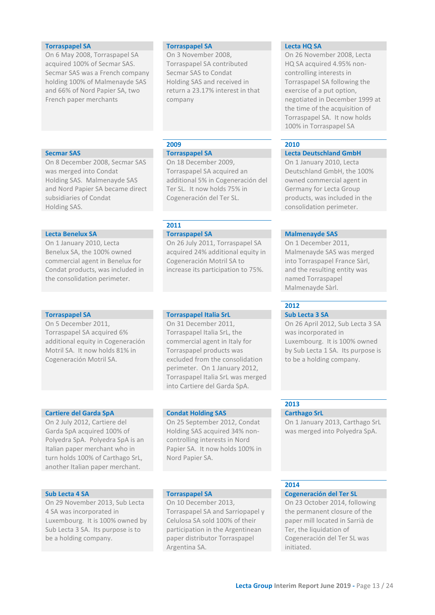### **Torraspapel SA Torraspapel SA Lecta HQ SA**

On 6 May 2008, Torraspapel SA acquired 100% of Secmar SAS. Secmar SAS was a French company holding 100% of Malmenayde SAS and 66% of Nord Papier SA, two French paper merchants

On 3 November 2008, Torraspapel SA contributed Secmar SAS to Condat Holding SAS and received in return a 23.17% interest in that company

On 8 December 2008, Secmar SAS was merged into Condat Holding SAS. Malmenayde SAS and Nord Papier SA became direct subsidiaries of Condat Holding SAS.

### **Lecta Benelux SA Torraspapel SA Malmenayde SAS**

On 1 January 2010, Lecta Benelux SA, the 100% owned commercial agent in Benelux for Condat products, was included in the consolidation perimeter.

On 5 December 2011, Torraspapel SA acquired 6% additional equity in Cogeneración Motril SA. It now holds 81% in Cogeneración Motril SA.

### **Cartiere del Garda SpA Condat Holding SAS Carthago SrL**

On 2 July 2012, Cartiere del Garda SpA acquired 100% of Polyedra SpA. Polyedra SpA is an Italian paper merchant who in turn holds 100% of Carthago SrL, another Italian paper merchant.

On 29 November 2013, Sub Lecta 4 SA was incorporated in Luxembourg. It is 100% owned by Sub Lecta 3 SA. Its purpose is to be a holding company.

### Torraspapel SA acquired an additional 5% in Cogeneración del Ter SL. It now holds 75% in

**2011**

On 18 December 2009,

Cogeneración del Ter SL.

On 26 July 2011, Torraspapel SA acquired 24% additional equity in Cogeneración Motril SA to increase its participation to 75%.

### **Torraspapel SA Torraspapel Italia SrL Sub Lecta 3 SA**

On 31 December 2011, Torraspapel Italia SrL, the commercial agent in Italy for Torraspapel products was excluded from the consolidation perimeter. On 1 January 2012, Torraspapel Italia SrL was merged into Cartiere del Garda SpA.

On 25 September 2012, Condat Holding SAS acquired 34% noncontrolling interests in Nord Papier SA. It now holds 100% in Nord Papier SA.

On 10 December 2013, Torraspapel SA and Sarriopapel y Celulosa SA sold 100% of their participation in the Argentinean paper distributor Torraspapel Argentina SA.

On 26 November 2008, Lecta HQ SA acquired 4.95% noncontrolling interests in Torraspapel SA following the exercise of a put option, negotiated in December 1999 at the time of the acquisition of Torraspapel SA. It now holds 100% in Torraspapel SA

### **2009 2010**

### **Secmar SAS Torraspapel SA Lecta Deutschland GmbH**

On 1 January 2010, Lecta Deutschland GmbH, the 100% owned commercial agent in Germany for Lecta Group products, was included in the consolidation perimeter.

On 1 December 2011, Malmenayde SAS was merged into Torraspapel France Sàrl, and the resulting entity was named Torraspapel Malmenayde Sàrl.

### **2012**

On 26 April 2012, Sub Lecta 3 SA was incorporated in Luxembourg. It is 100% owned by Sub Lecta 1 SA. Its purpose is to be a holding company.

### **2013**

On 1 January 2013, Carthago SrL was merged into Polyedra SpA.

### **2014**

### **Sub Lecta 4 SA Torraspapel SA Cogeneración del Ter SL**

On 23 October 2014, following the permanent closure of the paper mill located in Sarrià de Ter, the liquidation of Cogeneración del Ter SL was initiated.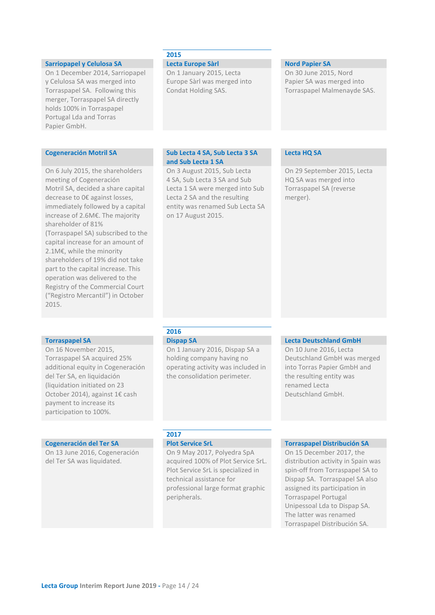### **Sarriopapel y Celulosa SA Lecta Europe Sàrl Nord Papier SA**

On 1 December 2014, Sarriopapel y Celulosa SA was merged into Torraspapel SA. Following this merger, Torraspapel SA directly holds 100% in Torraspapel Portugal Lda and Torras Papier GmbH.

On 6 July 2015, the shareholders meeting of Cogeneración Motril SA, decided a share capital decrease to 0€ against losses, immediately followed by a capital increase of 2.6M€. The majority shareholder of 81% (Torraspapel SA) subscribed to the capital increase for an amount of 2.1M€, while the minority shareholders of 19% did not take part to the capital increase. This operation was delivered to the Registry of the Commercial Court ("Registro Mercantil") in October 2015.

On 16 November 2015, Torraspapel SA acquired 25% additional equity in Cogeneración del Ter SA, en liquidación (liquidation initiated on 23 October 2014), against 1€ cash payment to increase its participation to 100%.

On 13 June 2016, Cogeneración del Ter SA was liquidated.

### **2015**

On 1 January 2015, Lecta Europe Sàrl was merged into Condat Holding SAS.

On 30 June 2015, Nord Papier SA was merged into Torraspapel Malmenayde SAS.

### **Cogeneración Motril SA Sub Lecta 4 SA, Sub Lecta 3 SA and Sub Lecta 1 SA**

On 3 August 2015, Sub Lecta 4 SA, Sub Lecta 3 SA and Sub Lecta 1 SA were merged into Sub Lecta 2 SA and the resulting entity was renamed Sub Lecta SA on 17 August 2015.

### **Lecta HQ SA**

On 29 September 2015, Lecta HQ SA was merged into Torraspapel SA (reverse merger).

### **2016**

On 1 January 2016, Dispap SA a holding company having no operating activity was included in the consolidation perimeter.

### **Torraspapel SA Dispap SA Dispap SA Lecta Deutschland GmbH**

On 10 June 2016, Lecta Deutschland GmbH was merged into Torras Papier GmbH and the resulting entity was renamed Lecta Deutschland GmbH.

## **2017**

On 9 May 2017, Polyedra SpA acquired 100% of Plot Service SrL. Plot Service SrL is specialized in technical assistance for professional large format graphic peripherals.

### **Cogeneración del Ter SA Plot Service SrL Torraspapel Distribución SA**

On 15 December 2017, the distribution activity in Spain was spin-off from Torraspapel SA to Dispap SA. Torraspapel SA also assigned its participation in Torraspapel Portugal Unipessoal Lda to Dispap SA. The latter was renamed Torraspapel Distribución SA.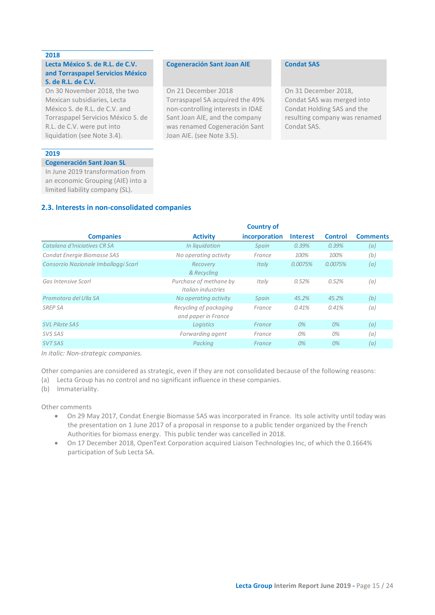### **2018**

### **Lecta México S. de R.L. de C.V. and Torraspapel Servicios México S. de R.L. de C.V.**

On 30 November 2018, the two Mexican subsidiaries, Lecta México S. de R.L. de C.V. and Torraspapel Servicios México S. de R.L. de C.V. were put into liquidation (see Note 3.4).

### **2019**

### **Cogeneración Sant Joan SL**

In June 2019 transformation from an economic Grouping (AIE) into a limited liability company (SL).

### **2.3. Interests in non-consolidated companies**

### **Companies Activity Country of incorporation Interest Control Comments** *Catalana d'Iniciatives CR SA In liquidation Spain 0.39% 0.39% (a) Condat Energie Biomasse SAS No operating activity France 100% 100% (b) Consorzio Nazionale Imballaggi Scarl Recovery & Recycling Italy 0.0075% 0.0075% (a) Gas Intensive Scarl Purchase of methane by Italian industries Italy 0.52% 0.52% (a) Promotora del Ulla SA No operating activity Spain 45.2% 45.2% (b) SREP SA Recycling of packaging and paper in France France 0.41% 0.41% (a) SVL Pilote SAS Logistics France 0% 0% (a)*

*In italic: Non-strategic companies.*

Other companies are considered as strategic, even if they are not consolidated because of the following reasons:

*SVS SAS Forwarding agent France 0% 0% (a) SVT SAS Packing France 0% 0% (a)*

- (a) Lecta Group has no control and no significant influence in these companies.
- (b) Immateriality.

Other comments

- On 29 May 2017, Condat Energie Biomasse SAS was incorporated in France. Its sole activity until today was the presentation on 1 June 2017 of a proposal in response to a public tender organized by the French Authorities for biomass energy. This public tender was cancelled in 2018.
- On 17 December 2018, OpenText Corporation acquired Liaison Technologies Inc, of which the 0.1664% participation of Sub Lecta SA.

### **Cogeneración Sant Joan AIE Condat SAS**

<span id="page-14-0"></span>On 21 December 2018 Torraspapel SA acquired the 49% non-controlling interests in IDAE Sant Joan AIE, and the company was renamed Cogeneración Sant Joan AIE. (see Note 3.5).

On 31 December 2018, Condat SAS was merged into Condat Holding SAS and the resulting company was renamed Condat SAS.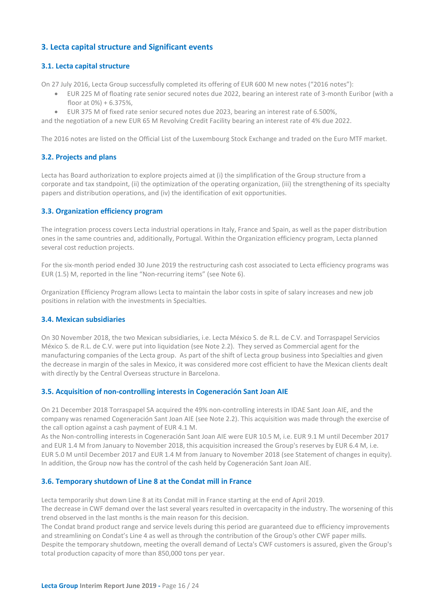### **3. Lecta capital structure and Significant events**

### **3.1. Lecta capital structure**

On 27 July 2016, Lecta Group successfully completed its offering of EUR 600 M new notes ("2016 notes"):

- <span id="page-15-1"></span><span id="page-15-0"></span>• EUR 225 M of floating rate senior secured notes due 2022, bearing an interest rate of 3-month Euribor (with a floor at 0%) + 6.375%,
- EUR 375 M of fixed rate senior secured notes due 2023, bearing an interest rate of 6.500%,
- and the negotiation of a new EUR 65 M Revolving Credit Facility bearing an interest rate of 4% due 2022.

The 2016 notes are listed on the Official List of the Luxembourg Stock Exchange and traded on the Euro MTF market.

### <span id="page-15-2"></span>**3.2. Projects and plans**

Lecta has Board authorization to explore projects aimed at (i) the simplification of the Group structure from a corporate and tax standpoint, (ii) the optimization of the operating organization, (iii) the strengthening of its specialty papers and distribution operations, and (iv) the identification of exit opportunities.

### <span id="page-15-3"></span>**3.3. Organization efficiency program**

The integration process covers Lecta industrial operations in Italy, France and Spain, as well as the paper distribution ones in the same countries and, additionally, Portugal. Within the Organization efficiency program, Lecta planned several cost reduction projects.

For the six-month period ended 30 June 2019 the restructuring cash cost associated to Lecta efficiency programs was EUR (1.5) M, reported in the line "Non-recurring items" (see Note 6).

Organization Efficiency Program allows Lecta to maintain the labor costs in spite of salary increases and new job positions in relation with the investments in Specialties.

### <span id="page-15-4"></span>**3.4. Mexican subsidiaries**

On 30 November 2018, the two Mexican subsidiaries, i.e. Lecta México S. de R.L. de C.V. and Torraspapel Servicios México S. de R.L. de C.V. were put into liquidation (see Note 2.2). They served as Commercial agent for the manufacturing companies of the Lecta group. As part of the shift of Lecta group business into Specialties and given the decrease in margin of the sales in Mexico, it was considered more cost efficient to have the Mexican clients dealt with directly by the Central Overseas structure in Barcelona.

### <span id="page-15-5"></span>**3.5. Acquisition of non-controlling interests in Cogeneración Sant Joan AIE**

On 21 December 2018 Torraspapel SA acquired the 49% non-controlling interests in IDAE Sant Joan AIE, and the company was renamed Cogeneración Sant Joan AIE (see Note 2.2). This acquisition was made through the exercise of the call option against a cash payment of EUR 4.1 M.

As the Non-controlling interests in Cogeneración Sant Joan AIE were EUR 10.5 M, i.e. EUR 9.1 M until December 2017 and EUR 1.4 M from January to November 2018, this acquisition increased the Group's reserves by EUR 6.4 M, i.e. EUR 5.0 M until December 2017 and EUR 1.4 M from January to November 2018 (see Statement of changes in equity). In addition, the Group now has the control of the cash held by Cogeneración Sant Joan AIE.

### <span id="page-15-6"></span>**3.6. Temporary shutdown of Line 8 at the Condat mill in France**

Lecta temporarily shut down Line 8 at its Condat mill in France starting at the end of April 2019. The decrease in CWF demand over the last several years resulted in overcapacity in the industry. The worsening of this trend observed in the last months is the main reason for this decision.

The Condat brand product range and service levels during this period are guaranteed due to efficiency improvements and streamlining on Condat's Line 4 as well as through the contribution of the Group's other CWF paper mills. Despite the temporary shutdown, meeting the overall demand of Lecta's CWF customers is assured, given the Group's total production capacity of more than 850,000 tons per year.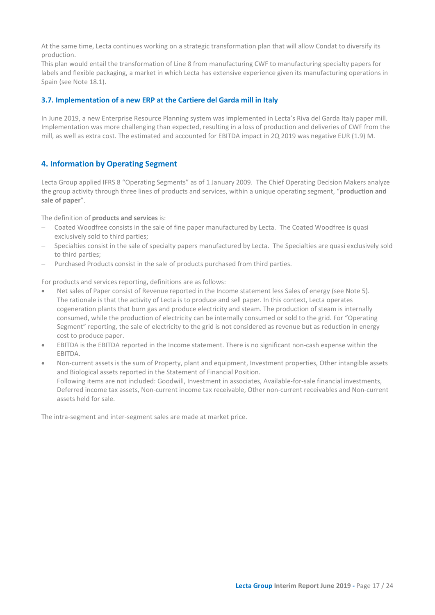At the same time, Lecta continues working on a strategic transformation plan that will allow Condat to diversify its production.

This plan would entail the transformation of Line 8 from manufacturing CWF to manufacturing specialty papers for labels and flexible packaging, a market in which Lecta has extensive experience given its manufacturing operations in Spain (see Note 18.1).

### <span id="page-16-0"></span>**3.7. Implementation of a new ERP at the Cartiere del Garda mill in Italy**

In June 2019, a new Enterprise Resource Planning system was implemented in Lecta's Riva del Garda Italy paper mill. Implementation was more challenging than expected, resulting in a loss of production and deliveries of CWF from the mill, as well as extra cost. The estimated and accounted for EBITDA impact in 2Q 2019 was negative EUR (1.9) M.

### <span id="page-16-1"></span>**4. Information by Operating Segment**

Lecta Group applied IFRS 8 "Operating Segments" as of 1 January 2009. The Chief Operating Decision Makers analyze the group activity through three lines of products and services, within a unique operating segment, "**production and sale of paper**".

The definition of **products and services** is:

- − Coated Woodfree consists in the sale of fine paper manufactured by Lecta. The Coated Woodfree is quasi exclusively sold to third parties;
- Specialties consist in the sale of specialty papers manufactured by Lecta. The Specialties are quasi exclusively sold to third parties;
- − Purchased Products consist in the sale of products purchased from third parties.

For products and services reporting, definitions are as follows:

- Net sales of Paper consist of Revenue reported in the Income statement less Sales of energy (see Note 5). The rationale is that the activity of Lecta is to produce and sell paper. In this context, Lecta operates cogeneration plants that burn gas and produce electricity and steam. The production of steam is internally consumed, while the production of electricity can be internally consumed or sold to the grid. For "Operating Segment" reporting, the sale of electricity to the grid is not considered as revenue but as reduction in energy cost to produce paper.
- EBITDA is the EBITDA reported in the Income statement. There is no significant non-cash expense within the EBITDA.
- Non-current assets is the sum of Property, plant and equipment, Investment properties, Other intangible assets and Biological assets reported in the Statement of Financial Position. Following items are not included: Goodwill, Investment in associates, Available-for-sale financial investments, Deferred income tax assets, Non-current income tax receivable, Other non-current receivables and Non-current assets held for sale.

The intra-segment and inter-segment sales are made at market price.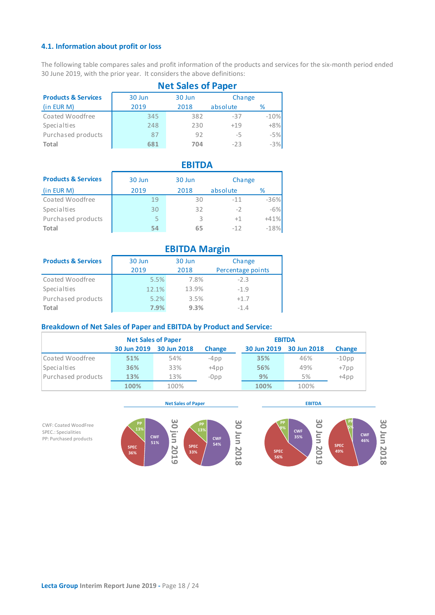### <span id="page-17-0"></span>**4.1. Information about profit or loss**

The following table compares sales and profit information of the products and services for the six-month period ended 30 June 2019, with the prior year. It considers the above definitions:

|                                | <b>Net Sales of Paper</b> |        |          |        |  |  |
|--------------------------------|---------------------------|--------|----------|--------|--|--|
| <b>Products &amp; Services</b> | 30 Jun                    | 30 Jun | Change   |        |  |  |
| (in EUR M)                     | 2019                      | 2018   | absolute | %      |  |  |
| Coated Woodfree                | 345                       | 382    | $-37$    | $-10%$ |  |  |
| Specialties                    | 248                       | 230    | $+19$    | $+8%$  |  |  |
| Purchased products             | 87                        | 92     | -5       | $-5%$  |  |  |
| Total                          | 681                       | 704    | $-23$    | $-3%$  |  |  |

|                                | <b>EBITDA</b> |        |          |        |  |  |  |  |
|--------------------------------|---------------|--------|----------|--------|--|--|--|--|
| <b>Products &amp; Services</b> | 30 Jun        | 30 Jun | Change   |        |  |  |  |  |
| (in EUR M)                     | 2019          | 2018   | absolute | %      |  |  |  |  |
| Coated Woodfree                | 19            | 30     | $-11$    | $-36%$ |  |  |  |  |
| Specialties                    | 30            | 32     | $-2$     | $-6%$  |  |  |  |  |
| Purchased products             | 5             | 3      | $+1$     | $+41%$ |  |  |  |  |
| Total                          | 54            | 65     | $-12$    | $-18%$ |  |  |  |  |

|                                | <b>EBITDA Margin</b> |                |                             |  |  |  |  |
|--------------------------------|----------------------|----------------|-----------------------------|--|--|--|--|
| <b>Products &amp; Services</b> | 30 Jun<br>2019       | 30 Jun<br>2018 | Change<br>Percentage points |  |  |  |  |
| Coated Woodfree                | 5.5%                 | 7.8%           | $-2.3$                      |  |  |  |  |
| Specialties                    | 12.1%                | 13.9%          | $-1.9$                      |  |  |  |  |
| Purchased products             | 5.2%                 | 3.5%           | $+1.7$                      |  |  |  |  |
| Total                          | 7.9%                 | 9.3%           | $-1.4$                      |  |  |  |  |

### **Breakdown of Net Sales of Paper and EBITDA by Product and Service:**

|                    | <b>Net Sales of Paper</b> |             |               | <b>EBITDA</b> |                         |               |
|--------------------|---------------------------|-------------|---------------|---------------|-------------------------|---------------|
|                    | 30 Jun 2019               | 30 Jun 2018 | <b>Change</b> |               | 30 Jun 2019 30 Jun 2018 | <b>Change</b> |
| Coated Woodfree    | 51%                       | 54%         | $-4$ pp       | 35%           | 46%                     | $-10$ pp      |
| Specialties        | 36%                       | 33%         | $+4pp$        | 56%           | 49%                     | $+7$ pp       |
| Purchased products | 13%                       | 13%         | $-Opp$        | 9%            | 5%                      | $+4pp$        |
|                    | 100%                      | 100%        |               | 100%          | 100%                    |               |

CWF: Coated WoodFree SPEC.: Specialities PP: Purchased products



**Net Sales of Paper EBITDA**

**SPEC 56%**

**PP 9%**

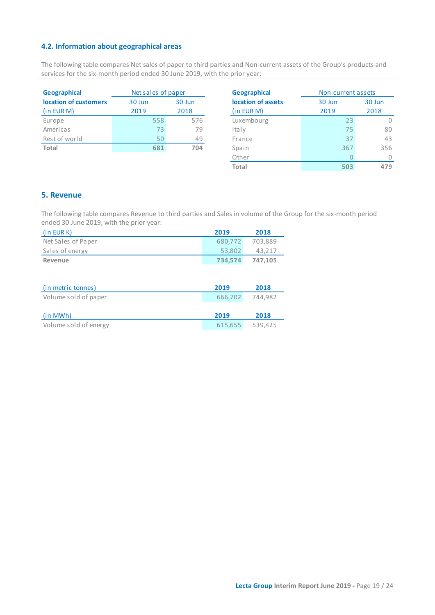### **4.2. Information about geographical areas**

The following table compares Net sales of paper to third parties and Non-current assets of the Group's products and services for the six-month period ended 30 June 2019, with the prior year:

| <b>Geographical</b>   | Net sales of paper | Geographical |                |
|-----------------------|--------------------|--------------|----------------|
| location of customers | 30 Jun             | 30 Jun       | location of as |
| (in EUR M)            | 2019               | 2018         | (in EUR M)     |
| Europe                | 558                | 576          | Luxembourg     |
| Americas              | 73                 | 79           | Italy          |
| Rest of world         | 50                 | 49           | France         |
| Total                 | 681                | 704          | Spain          |
|                       |                    |              |                |

<span id="page-18-0"></span>

| <b>Geographical</b> | Non-current assets |      |  |
|---------------------|--------------------|------|--|
| location of assets  | 30 Jun<br>30 Jun   |      |  |
| (in EUR M)          | 2019               | 2018 |  |
| Luxembourg          | 23                 |      |  |
| Italy               | 75                 | 80   |  |
| France              | 37                 | 43   |  |
| Spain               | 367                | 356  |  |
| Other               |                    |      |  |
| Total               | 503                |      |  |

### <span id="page-18-1"></span>**5. Revenue**

The following table compares Revenue to third parties and Sales in volume of the Group for the six-month period ended 30 June 2019, with the prior year:

| (in EUR K)         | 2019    | 2018    |
|--------------------|---------|---------|
| Net Sales of Paper | 680.772 | 703.889 |
| Sales of energy    | 53.802  | 43.217  |
| Revenue            | 734.574 | 747.105 |

| (in metric tonnes)    | 2019    | 2018    |
|-----------------------|---------|---------|
| Volume sold of paper  | 666,702 | 744.982 |
|                       |         |         |
| (in MWh)              | 2019    | 2018    |
| Volume sold of energy | 615.655 | 539.425 |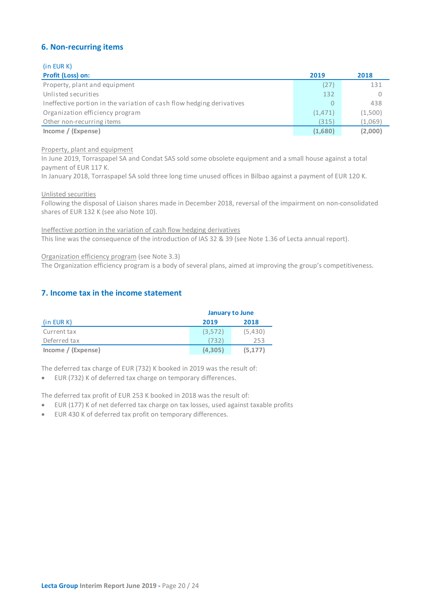### <span id="page-19-0"></span>**6. Non-recurring items**

(in EUR K)

| Profit (Loss) on:                                                     | 2019    | 2018    |
|-----------------------------------------------------------------------|---------|---------|
| Property, plant and equipment                                         | (27)    | 131     |
| Unlisted securities                                                   | 132     |         |
| Ineffective portion in the variation of cash flow hedging derivatives | 0       | 438     |
| Organization efficiency program                                       | (1,471) | (1,500) |
| Other non-recurring items                                             | (315)   | (1,069) |
| Income / (Expense)                                                    | (1,680) | (2,000) |

### Property, plant and equipment

In June 2019, Torraspapel SA and Condat SAS sold some obsolete equipment and a small house against a total payment of EUR 117 K.

In January 2018, Torraspapel SA sold three long time unused offices in Bilbao against a payment of EUR 120 K.

Unlisted securities

Following the disposal of Liaison shares made in December 2018, reversal of the impairment on non-consolidated shares of EUR 132 K (see also Note 10).

Ineffective portion in the variation of cash flow hedging derivatives This line was the consequence of the introduction of IAS 32 & 39 (see Note 1.36 of Lecta annual report).

Organization efficiency program (see Note 3.3)

The Organization efficiency program is a body of several plans, aimed at improving the group's competitiveness.

### <span id="page-19-1"></span>**7. Income tax in the income statement**

|                    | <b>January to June</b> |          |  |
|--------------------|------------------------|----------|--|
| (in EUR K)         | 2019                   | 2018     |  |
| Current tax        | (3,572)                | (5,430)  |  |
| Deferred tax       | (732)                  | 253      |  |
| Income / (Expense) | (4.305)                | (5, 177) |  |

The deferred tax charge of EUR (732) K booked in 2019 was the result of:

• EUR (732) K of deferred tax charge on temporary differences.

The deferred tax profit of EUR 253 K booked in 2018 was the result of:

- EUR (177) K of net deferred tax charge on tax losses, used against taxable profits
- EUR 430 K of deferred tax profit on temporary differences.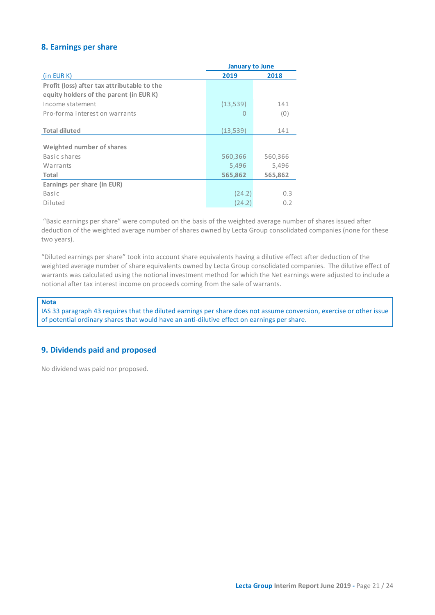### <span id="page-20-0"></span>**8. Earnings per share**

|                                             | <b>January to June</b> |         |  |
|---------------------------------------------|------------------------|---------|--|
| (in EUR K)                                  | 2019                   | 2018    |  |
| Profit (loss) after tax attributable to the |                        |         |  |
| equity holders of the parent (in EUR K)     |                        |         |  |
| Income statement                            | (13,539)               | 141     |  |
| Pro-forma interest on warrants              | 0                      | (0)     |  |
|                                             |                        |         |  |
| <b>Total diluted</b>                        | (13,539)               | 141     |  |
| Weighted number of shares                   |                        |         |  |
| Basic shares                                | 560,366                | 560,366 |  |
| Warrants                                    | 5,496                  | 5,496   |  |
| Total                                       | 565,862                | 565,862 |  |
| Earnings per share (in EUR)                 |                        |         |  |
| Basic                                       | (24.2)                 | 0.3     |  |
| Diluted                                     | (24.2)                 | 0.2     |  |

"Basic earnings per share" were computed on the basis of the weighted average number of shares issued after deduction of the weighted average number of shares owned by Lecta Group consolidated companies (none for these two years).

"Diluted earnings per share" took into account share equivalents having a dilutive effect after deduction of the weighted average number of share equivalents owned by Lecta Group consolidated companies. The dilutive effect of warrants was calculated using the notional investment method for which the Net earnings were adjusted to include a notional after tax interest income on proceeds coming from the sale of warrants.

### **Nota**

IAS 33 paragraph 43 requires that the diluted earnings per share does not assume conversion, exercise or other issue of potential ordinary shares that would have an anti-dilutive effect on earnings per share.

### <span id="page-20-1"></span>**9. Dividends paid and proposed**

No dividend was paid nor proposed.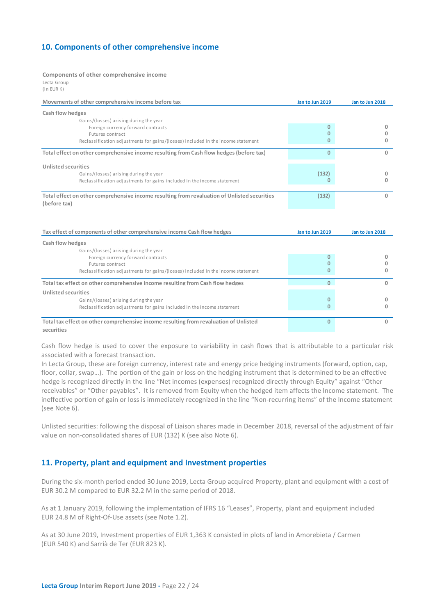### <span id="page-21-0"></span>**10. Components of other comprehensive income**

### **Components of other comprehensive income**

Lecta Group (in EUR K)

| Movements of other comprehensive income before tax                                           | Jan to Jun 2019 | Jan to Jun 2018 |
|----------------------------------------------------------------------------------------------|-----------------|-----------------|
| Cash flow hedges                                                                             |                 |                 |
| Gains/(losses) arising during the year                                                       |                 |                 |
| Foreign currency forward contracts                                                           |                 |                 |
| Futures contract                                                                             |                 |                 |
| Reclassification adjustments for gains/(losses) included in the income statement             |                 |                 |
| Total effect on other comprehensive income resulting from Cash flow hedges (before tax)      | n               | 0               |
| Unlisted securities                                                                          |                 |                 |
| Gains/(losses) arising during the year                                                       | (132)           | 0               |
| Reclassification adjustments for gains included in the income statement                      |                 |                 |
|                                                                                              |                 |                 |
| Total effect on other comprehensive income resulting from revaluation of Unlisted securities | (132)           | 0               |
| (before tax)                                                                                 |                 |                 |

| Tax effect of components of other comprehensive income Cash flow hedges               | Jan to Jun 2019 | Jan to Jun 2018 |
|---------------------------------------------------------------------------------------|-----------------|-----------------|
| Cash flow hedges                                                                      |                 |                 |
| Gains/(losses) arising during the year                                                |                 |                 |
| Foreign currency forward contracts                                                    |                 |                 |
| Futures contract                                                                      |                 |                 |
| Reclassification adjustments for gains/(losses) included in the income statement      |                 |                 |
| Total tax effect on other comprehensive income resulting from Cash flow hedges        |                 | 0               |
| Unlisted securities                                                                   |                 |                 |
| Gains/(losses) arising during the year                                                |                 |                 |
| Reclassification adjustments for gains included in the income statement               |                 |                 |
|                                                                                       |                 |                 |
| Total tax effect on other comprehensive income resulting from revaluation of Unlisted |                 |                 |
| securities                                                                            |                 |                 |

Cash flow hedge is used to cover the exposure to variability in cash flows that is attributable to a particular risk associated with a forecast transaction.

In Lecta Group, these are foreign currency, interest rate and energy price hedging instruments (forward, option, cap, floor, collar, swap…). The portion of the gain or loss on the hedging instrument that is determined to be an effective hedge is recognized directly in the line "Net incomes (expenses) recognized directly through Equity" against "Other receivables" or "Other payables". It is removed from Equity when the hedged item affects the Income statement. The ineffective portion of gain or loss is immediately recognized in the line "Non-recurring items" of the Income statement (see Note 6).

Unlisted securities: following the disposal of Liaison shares made in December 2018, reversal of the adjustment of fair value on non-consolidated shares of EUR (132) K (see also Note 6).

### <span id="page-21-1"></span>**11. Property, plant and equipment and Investment properties**

During the six-month period ended 30 June 2019, Lecta Group acquired Property, plant and equipment with a cost of EUR 30.2 M compared to EUR 32.2 M in the same period of 2018.

As at 1 January 2019, following the implementation of IFRS 16 "Leases", Property, plant and equipment included EUR 24.8 M of Right-Of-Use assets (see Note 1.2).

As at 30 June 2019, Investment properties of EUR 1,363 K consisted in plots of land in Amorebieta / Carmen (EUR 540 K) and Sarrià de Ter (EUR 823 K).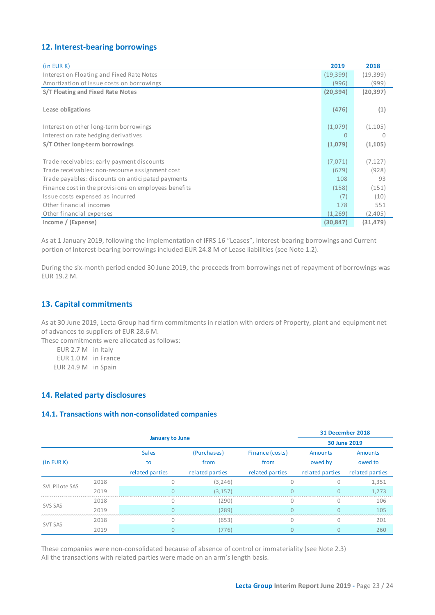### <span id="page-22-0"></span>**12. Interest-bearing borrowings**

| (in EUR K)                                           | 2019      | 2018      |
|------------------------------------------------------|-----------|-----------|
| Interest on Floating and Fixed Rate Notes            | (19, 399) | (19, 399) |
| Amortization of issue costs on borrowings            | (996)     | (999)     |
| S/T Floating and Fixed Rate Notes                    | (20, 394) | (20, 397) |
|                                                      |           |           |
| Lease obligations                                    | (476)     | (1)       |
|                                                      |           |           |
| Interest on other long-term borrowings               | (1,079)   | (1,105)   |
| Interest on rate hedging derivatives                 | $\Omega$  | 0         |
| S/T Other long-term borrowings                       | (1,079)   | (1, 105)  |
|                                                      |           |           |
| Trade receivables: early payment discounts           | (7,071)   | (7, 127)  |
| Trade receivables: non-recourse assignment cost      | (679)     | (928)     |
| Trade payables: discounts on anticipated payments    | 108       | 93        |
| Finance cost in the provisions on employees benefits | (158)     | (151)     |
| Issue costs expensed as incurred                     | (7)       | (10)      |
| Other financial incomes                              | 178       | 551       |
| Other financial expenses                             | (1,269)   | (2,405)   |
| Income / (Expense)                                   | (30, 847) | (31, 479) |

As at 1 January 2019, following the implementation of IFRS 16 "Leases", Interest-bearing borrowings and Current portion of Interest-bearing borrowings included EUR 24.8 M of Lease liabilities (see Note 1.2).

During the six-month period ended 30 June 2019, the proceeds from borrowings net of repayment of borrowings was EUR 19.2 M.

### <span id="page-22-1"></span>**13. Capital commitments**

As at 30 June 2019, Lecta Group had firm commitments in relation with orders of Property, plant and equipment net of advances to suppliers of EUR 28.6 M.

These commitments were allocated as follows:

<span id="page-22-2"></span>EUR 2.7 M in Italy EUR 1.0 M in France EUR 24.9 M in Spain

### **14. Related party disclosures**

### <span id="page-22-3"></span>**14.1. Transactions with non-consolidated companies**

|                |      |                 |                 |                 |                 | 31 December 2018 |
|----------------|------|-----------------|-----------------|-----------------|-----------------|------------------|
|                |      | January to June |                 |                 |                 | 30 June 2019     |
|                |      | <b>Sales</b>    | (Purchases)     | Finance (costs) | <b>Amounts</b>  | <b>Amounts</b>   |
| (in EUR K)     |      | to              | from            | from            | owed by         | owed to          |
|                |      | related parties | related parties | related parties | related parties | related parties  |
|                | 2018 |                 | (3, 246)        |                 |                 | 1,351            |
| SVL Pilote SAS | 2019 |                 | (3, 157)        |                 |                 | 1.273            |
|                | 2018 |                 | (290)           | C               | Ω               | 106              |
| SVS SAS        | 2019 |                 | (289)           |                 |                 | 105              |
|                | 2018 |                 | (653)           |                 |                 | 201              |
| <b>SVT SAS</b> | 2019 |                 | (776)           |                 |                 | 260              |

These companies were non-consolidated because of absence of control or immateriality (see Note 2.3) All the transactions with related parties were made on an arm's length basis.